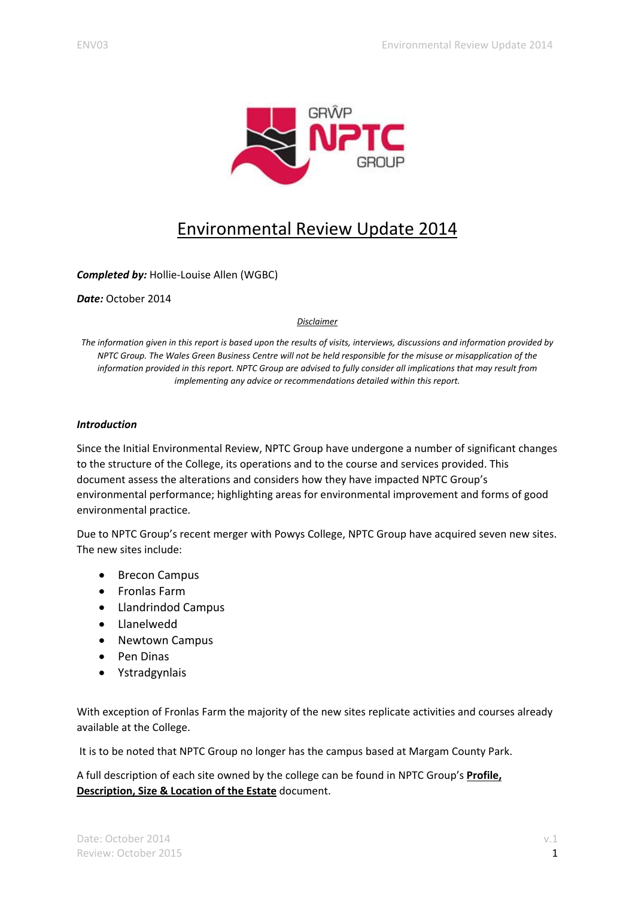

# Environmental Review Update 2014

*Completed by:* Hollie‐Louise Allen (WGBC)

*Date:* October 2014

#### *Disclaimer*

The information given in this report is based upon the results of visits, interviews, discussions and information provided by NPTC Group. The Wales Green Business Centre will not be held responsible for the misuse or misapplication of the information provided in this report. NPTC Group are advised to fully consider all implications that may result from *implementing any advice or recommendations detailed within this report.*

#### *Introduction*

Since the Initial Environmental Review, NPTC Group have undergone a number of significant changes to the structure of the College, its operations and to the course and services provided. This document assess the alterations and considers how they have impacted NPTC Group's environmental performance; highlighting areas for environmental improvement and forms of good environmental practice.

Due to NPTC Group's recent merger with Powys College, NPTC Group have acquired seven new sites. The new sites include:

- Brecon Campus
- Fronlas Farm
- Llandrindod Campus
- Llanelwedd
- Newtown Campus
- Pen Dinas
- Ystradgynlais

With exception of Fronlas Farm the majority of the new sites replicate activities and courses already available at the College.

It is to be noted that NPTC Group no longer has the campus based at Margam County Park.

A full description of each site owned by the college can be found in NPTC Group's **Profile, Description, Size & Location of the Estate** document.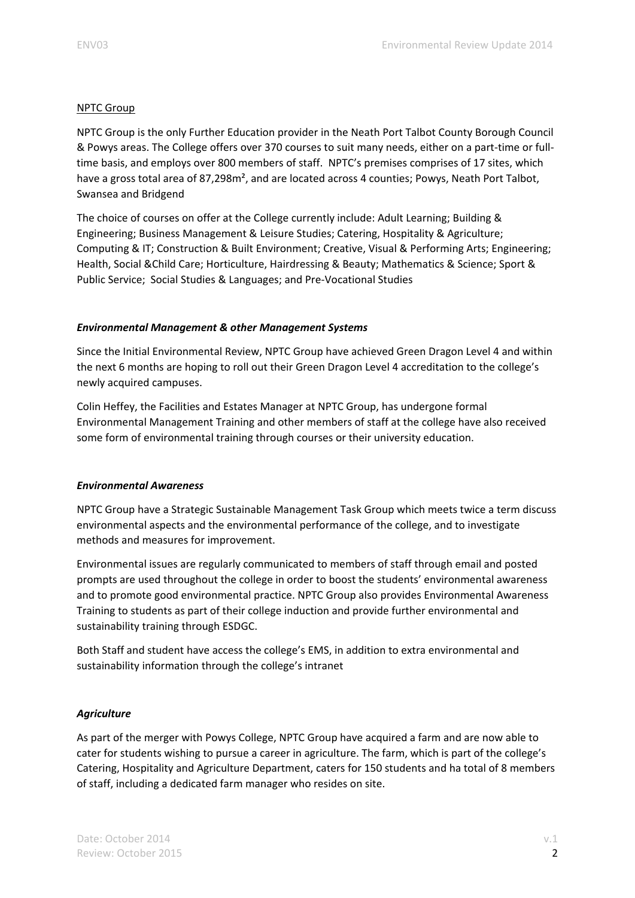## NPTC Group

NPTC Group is the only Further Education provider in the Neath Port Talbot County Borough Council & Powys areas. The College offers over 370 courses to suit many needs, either on a part‐time or full‐ time basis, and employs over 800 members of staff. NPTC's premises comprises of 17 sites, which have a gross total area of 87,298m<sup>2</sup>, and are located across 4 counties; Powys, Neath Port Talbot, Swansea and Bridgend

The choice of courses on offer at the College currently include: Adult Learning; Building & Engineering; Business Management & Leisure Studies; Catering, Hospitality & Agriculture; Computing & IT; Construction & Built Environment; Creative, Visual & Performing Arts; Engineering; Health, Social &Child Care; Horticulture, Hairdressing & Beauty; Mathematics & Science; Sport & Public Service; Social Studies & Languages; and Pre‐Vocational Studies

## *Environmental Management & other Management Systems*

Since the Initial Environmental Review, NPTC Group have achieved Green Dragon Level 4 and within the next 6 months are hoping to roll out their Green Dragon Level 4 accreditation to the college's newly acquired campuses.

Colin Heffey, the Facilities and Estates Manager at NPTC Group, has undergone formal Environmental Management Training and other members of staff at the college have also received some form of environmental training through courses or their university education.

## *Environmental Awareness*

NPTC Group have a Strategic Sustainable Management Task Group which meets twice a term discuss environmental aspects and the environmental performance of the college, and to investigate methods and measures for improvement.

Environmental issues are regularly communicated to members of staff through email and posted prompts are used throughout the college in order to boost the students' environmental awareness and to promote good environmental practice. NPTC Group also provides Environmental Awareness Training to students as part of their college induction and provide further environmental and sustainability training through ESDGC.

Both Staff and student have access the college's EMS, in addition to extra environmental and sustainability information through the college's intranet

## *Agriculture*

As part of the merger with Powys College, NPTC Group have acquired a farm and are now able to cater for students wishing to pursue a career in agriculture. The farm, which is part of the college's Catering, Hospitality and Agriculture Department, caters for 150 students and ha total of 8 members of staff, including a dedicated farm manager who resides on site.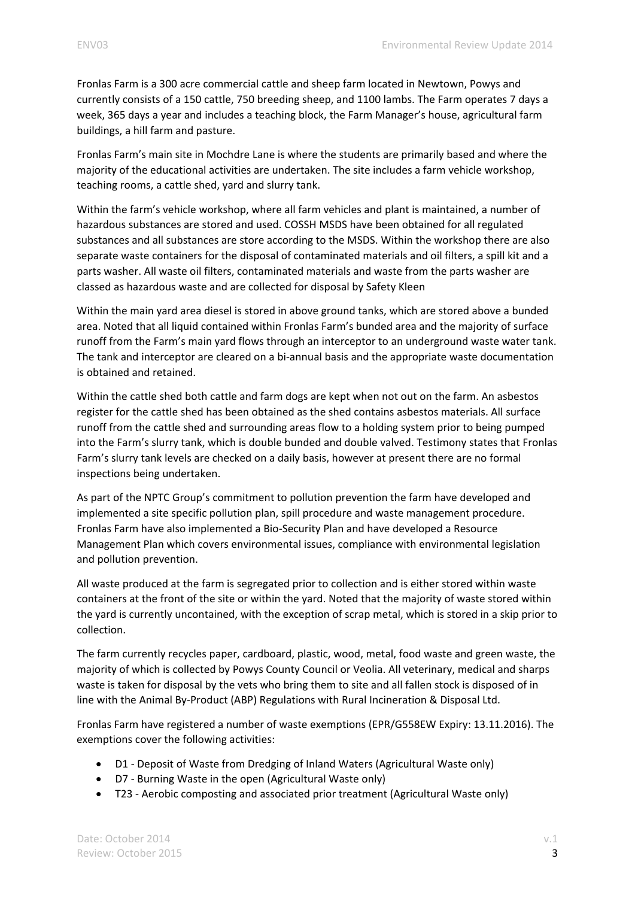Fronlas Farm is a 300 acre commercial cattle and sheep farm located in Newtown, Powys and currently consists of a 150 cattle, 750 breeding sheep, and 1100 lambs. The Farm operates 7 days a week, 365 days a year and includes a teaching block, the Farm Manager's house, agricultural farm buildings, a hill farm and pasture.

Fronlas Farm's main site in Mochdre Lane is where the students are primarily based and where the majority of the educational activities are undertaken. The site includes a farm vehicle workshop, teaching rooms, a cattle shed, yard and slurry tank.

Within the farm's vehicle workshop, where all farm vehicles and plant is maintained, a number of hazardous substances are stored and used. COSSH MSDS have been obtained for all regulated substances and all substances are store according to the MSDS. Within the workshop there are also separate waste containers for the disposal of contaminated materials and oil filters, a spill kit and a parts washer. All waste oil filters, contaminated materials and waste from the parts washer are classed as hazardous waste and are collected for disposal by Safety Kleen

Within the main yard area diesel is stored in above ground tanks, which are stored above a bunded area. Noted that all liquid contained within Fronlas Farm's bunded area and the majority of surface runoff from the Farm's main yard flows through an interceptor to an underground waste water tank. The tank and interceptor are cleared on a bi-annual basis and the appropriate waste documentation is obtained and retained.

Within the cattle shed both cattle and farm dogs are kept when not out on the farm. An asbestos register for the cattle shed has been obtained as the shed contains asbestos materials. All surface runoff from the cattle shed and surrounding areas flow to a holding system prior to being pumped into the Farm's slurry tank, which is double bunded and double valved. Testimony states that Fronlas Farm's slurry tank levels are checked on a daily basis, however at present there are no formal inspections being undertaken.

As part of the NPTC Group's commitment to pollution prevention the farm have developed and implemented a site specific pollution plan, spill procedure and waste management procedure. Fronlas Farm have also implemented a Bio‐Security Plan and have developed a Resource Management Plan which covers environmental issues, compliance with environmental legislation and pollution prevention.

All waste produced at the farm is segregated prior to collection and is either stored within waste containers at the front of the site or within the yard. Noted that the majority of waste stored within the yard is currently uncontained, with the exception of scrap metal, which is stored in a skip prior to collection.

The farm currently recycles paper, cardboard, plastic, wood, metal, food waste and green waste, the majority of which is collected by Powys County Council or Veolia. All veterinary, medical and sharps waste is taken for disposal by the vets who bring them to site and all fallen stock is disposed of in line with the Animal By‐Product (ABP) Regulations with Rural Incineration & Disposal Ltd.

Fronlas Farm have registered a number of waste exemptions (EPR/G558EW Expiry: 13.11.2016). The exemptions cover the following activities:

- D1 Deposit of Waste from Dredging of Inland Waters (Agricultural Waste only)
- D7 ‐ Burning Waste in the open (Agricultural Waste only)
- T23 Aerobic composting and associated prior treatment (Agricultural Waste only)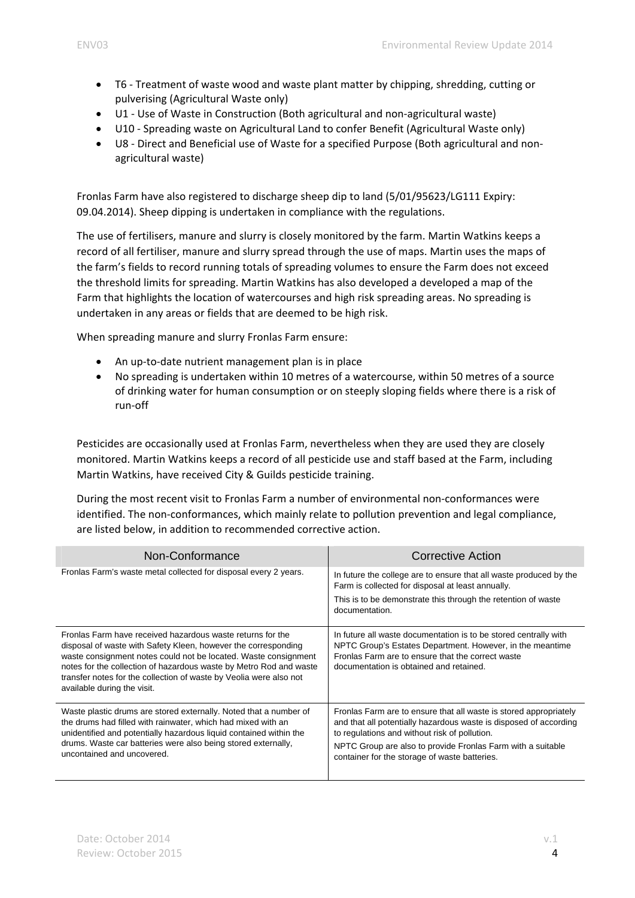- T6 Treatment of waste wood and waste plant matter by chipping, shredding, cutting or pulverising (Agricultural Waste only)
- U1 Use of Waste in Construction (Both agricultural and non-agricultural waste)
- U10 Spreading waste on Agricultural Land to confer Benefit (Agricultural Waste only)
- U8 Direct and Beneficial use of Waste for a specified Purpose (Both agricultural and nonagricultural waste)

Fronlas Farm have also registered to discharge sheep dip to land (5/01/95623/LG111 Expiry: 09.04.2014). Sheep dipping is undertaken in compliance with the regulations.

The use of fertilisers, manure and slurry is closely monitored by the farm. Martin Watkins keeps a record of all fertiliser, manure and slurry spread through the use of maps. Martin uses the maps of the farm's fields to record running totals of spreading volumes to ensure the Farm does not exceed the threshold limits for spreading. Martin Watkins has also developed a developed a map of the Farm that highlights the location of watercourses and high risk spreading areas. No spreading is undertaken in any areas or fields that are deemed to be high risk.

When spreading manure and slurry Fronlas Farm ensure:

- An up-to-date nutrient management plan is in place
- No spreading is undertaken within 10 metres of a watercourse, within 50 metres of a source of drinking water for human consumption or on steeply sloping fields where there is a risk of run‐off

Pesticides are occasionally used at Fronlas Farm, nevertheless when they are used they are closely monitored. Martin Watkins keeps a record of all pesticide use and staff based at the Farm, including Martin Watkins, have received City & Guilds pesticide training.

During the most recent visit to Fronlas Farm a number of environmental non‐conformances were identified. The non‐conformances, which mainly relate to pollution prevention and legal compliance, are listed below, in addition to recommended corrective action.

| Non-Conformance                                                                                                                                                                                                                                                                                                                                                            | Corrective Action                                                                                                                                                                                                                                                                                       |
|----------------------------------------------------------------------------------------------------------------------------------------------------------------------------------------------------------------------------------------------------------------------------------------------------------------------------------------------------------------------------|---------------------------------------------------------------------------------------------------------------------------------------------------------------------------------------------------------------------------------------------------------------------------------------------------------|
| Fronlas Farm's waste metal collected for disposal every 2 years.                                                                                                                                                                                                                                                                                                           | In future the college are to ensure that all waste produced by the<br>Farm is collected for disposal at least annually.<br>This is to be demonstrate this through the retention of waste<br>documentation.                                                                                              |
| Fronlas Farm have received hazardous waste returns for the<br>disposal of waste with Safety Kleen, however the corresponding<br>waste consignment notes could not be located. Waste consignment<br>notes for the collection of hazardous waste by Metro Rod and waste<br>transfer notes for the collection of waste by Veolia were also not<br>available during the visit. | In future all waste documentation is to be stored centrally with<br>NPTC Group's Estates Department. However, in the meantime<br>Fronlas Farm are to ensure that the correct waste<br>documentation is obtained and retained.                                                                           |
| Waste plastic drums are stored externally. Noted that a number of<br>the drums had filled with rainwater, which had mixed with an<br>unidentified and potentially hazardous liquid contained within the<br>drums. Waste car batteries were also being stored externally,<br>uncontained and uncovered.                                                                     | Fronlas Farm are to ensure that all waste is stored appropriately<br>and that all potentially hazardous waste is disposed of according<br>to regulations and without risk of pollution.<br>NPTC Group are also to provide Fronlas Farm with a suitable<br>container for the storage of waste batteries. |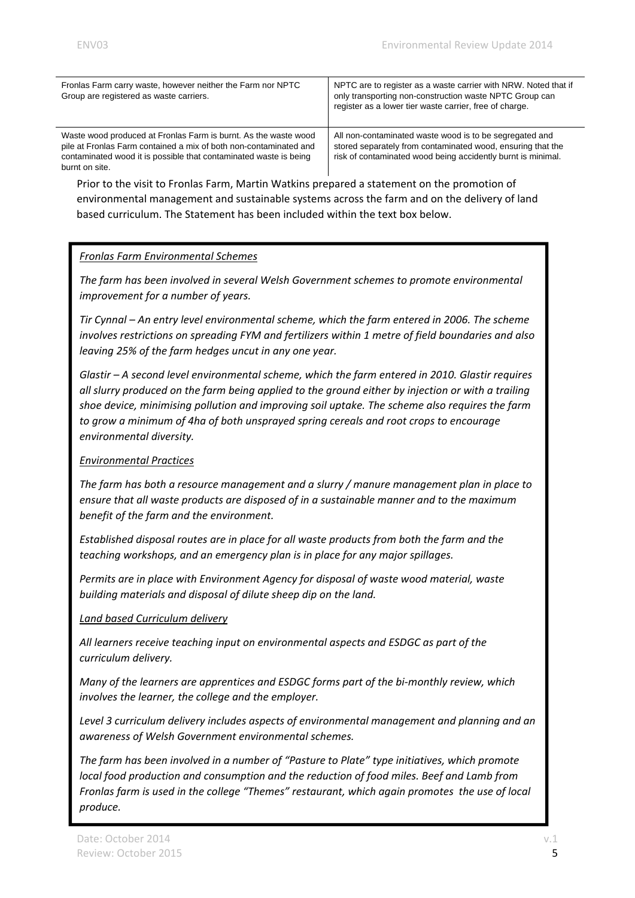| Fronlas Farm carry waste, however neither the Farm nor NPTC<br>Group are registered as waste carriers.                                                                                                                      | NPTC are to register as a waste carrier with NRW. Noted that if<br>only transporting non-construction waste NPTC Group can<br>register as a lower tier waste carrier, free of charge.  |
|-----------------------------------------------------------------------------------------------------------------------------------------------------------------------------------------------------------------------------|----------------------------------------------------------------------------------------------------------------------------------------------------------------------------------------|
| Waste wood produced at Fronlas Farm is burnt. As the waste wood<br>pile at Fronlas Farm contained a mix of both non-contaminated and<br>contaminated wood it is possible that contaminated waste is being<br>burnt on site. | All non-contaminated waste wood is to be segregated and<br>stored separately from contaminated wood, ensuring that the<br>risk of contaminated wood being accidently burnt is minimal. |

Prior to the visit to Fronlas Farm, Martin Watkins prepared a statement on the promotion of environmental management and sustainable systems across the farm and on the delivery of land based curriculum. The Statement has been included within the text box below.

## *Fronlas Farm Environmental Schemes*

*The farm has been involved in several Welsh Government schemes to promote environmental improvement for a number of years.*

*Tir Cynnal – An entry level environmental scheme, which the farm entered in 2006. The scheme involves restrictions on spreading FYM and fertilizers within 1 metre of field boundaries and also leaving 25% of the farm hedges uncut in any one year.* 

*Glastir – A second level environmental scheme, which the farm entered in 2010. Glastir requires all slurry produced on the farm being applied to the ground either by injection or with a trailing shoe device, minimising pollution and improving soil uptake. The scheme also requires the farm to grow a minimum of 4ha of both unsprayed spring cereals and root crops to encourage environmental diversity.*

## *Environmental Practices*

*The farm has both a resource management and a slurry / manure management plan in place to ensure that all waste products are disposed of in a sustainable manner and to the maximum benefit of the farm and the environment.*

*Established disposal routes are in place for all waste products from both the farm and the teaching workshops, and an emergency plan is in place for any major spillages.*

*Permits are in place with Environment Agency for disposal of waste wood material, waste building materials and disposal of dilute sheep dip on the land.*

#### *Land based Curriculum delivery*

*All learners receive teaching input on environmental aspects and ESDGC as part of the curriculum delivery.*

*Many of the learners are apprentices and ESDGC forms part of the bi‐monthly review, which involves the learner, the college and the employer.*

*Level 3 curriculum delivery includes aspects of environmental management and planning and an awareness of Welsh Government environmental schemes.*

*The farm has been involved in a number of "Pasture to Plate" type initiatives, which promote local food production and consumption and the reduction of food miles. Beef and Lamb from Fronlas farm is used in the college "Themes" restaurant, which again promotes the use of local produce.*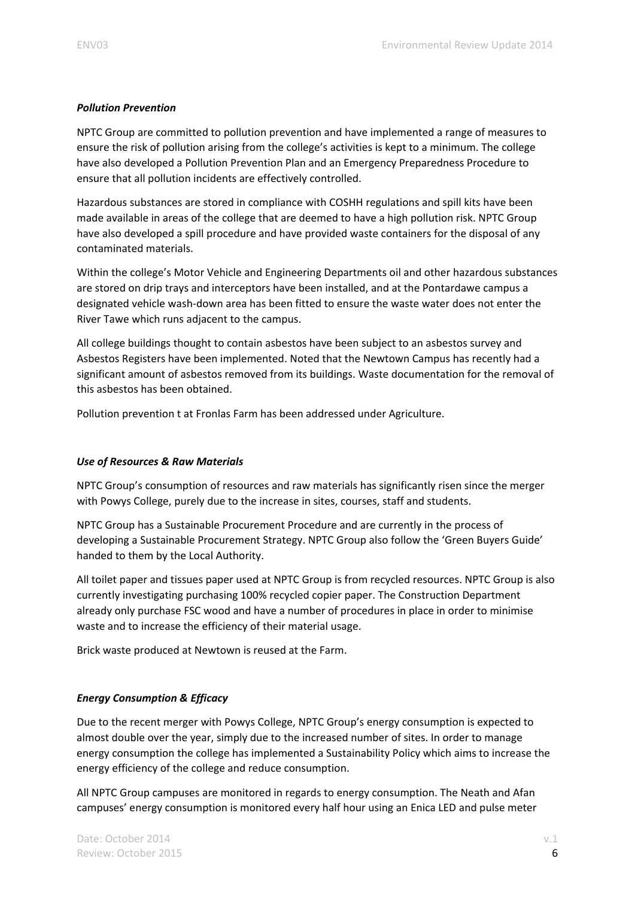## *Pollution Prevention*

NPTC Group are committed to pollution prevention and have implemented a range of measures to ensure the risk of pollution arising from the college's activities is kept to a minimum. The college have also developed a Pollution Prevention Plan and an Emergency Preparedness Procedure to ensure that all pollution incidents are effectively controlled.

Hazardous substances are stored in compliance with COSHH regulations and spill kits have been made available in areas of the college that are deemed to have a high pollution risk. NPTC Group have also developed a spill procedure and have provided waste containers for the disposal of any contaminated materials.

Within the college's Motor Vehicle and Engineering Departments oil and other hazardous substances are stored on drip trays and interceptors have been installed, and at the Pontardawe campus a designated vehicle wash‐down area has been fitted to ensure the waste water does not enter the River Tawe which runs adjacent to the campus.

All college buildings thought to contain asbestos have been subject to an asbestos survey and Asbestos Registers have been implemented. Noted that the Newtown Campus has recently had a significant amount of asbestos removed from its buildings. Waste documentation for the removal of this asbestos has been obtained.

Pollution prevention t at Fronlas Farm has been addressed under Agriculture.

## *Use of Resources & Raw Materials*

NPTC Group's consumption of resources and raw materials has significantly risen since the merger with Powys College, purely due to the increase in sites, courses, staff and students.

NPTC Group has a Sustainable Procurement Procedure and are currently in the process of developing a Sustainable Procurement Strategy. NPTC Group also follow the 'Green Buyers Guide' handed to them by the Local Authority.

All toilet paper and tissues paper used at NPTC Group is from recycled resources. NPTC Group is also currently investigating purchasing 100% recycled copier paper. The Construction Department already only purchase FSC wood and have a number of procedures in place in order to minimise waste and to increase the efficiency of their material usage.

Brick waste produced at Newtown is reused at the Farm.

## *Energy Consumption & Efficacy*

Due to the recent merger with Powys College, NPTC Group's energy consumption is expected to almost double over the year, simply due to the increased number of sites. In order to manage energy consumption the college has implemented a Sustainability Policy which aims to increase the energy efficiency of the college and reduce consumption.

All NPTC Group campuses are monitored in regards to energy consumption. The Neath and Afan campuses' energy consumption is monitored every half hour using an Enica LED and pulse meter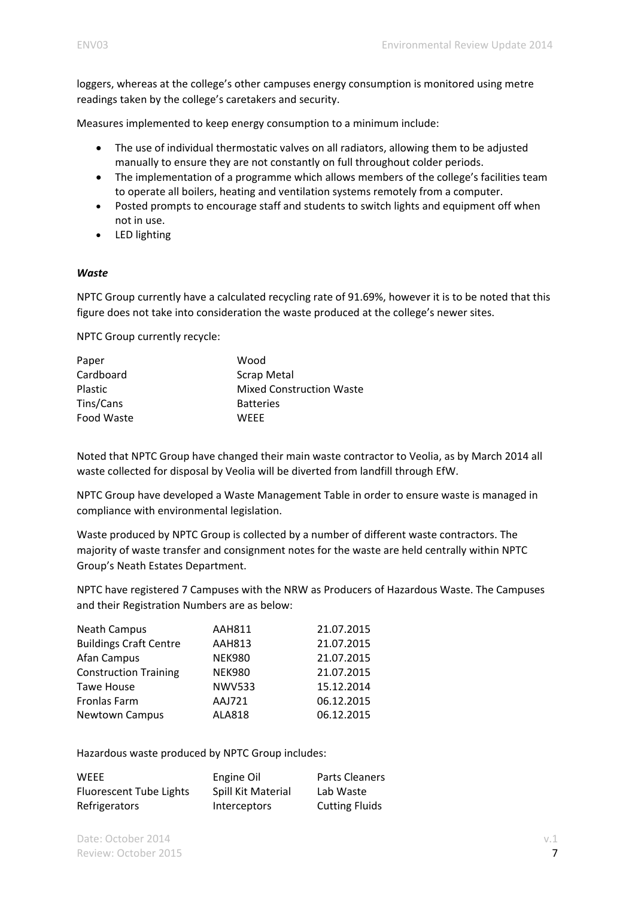loggers, whereas at the college's other campuses energy consumption is monitored using metre readings taken by the college's caretakers and security.

Measures implemented to keep energy consumption to a minimum include:

- The use of individual thermostatic valves on all radiators, allowing them to be adjusted manually to ensure they are not constantly on full throughout colder periods.
- The implementation of a programme which allows members of the college's facilities team to operate all boilers, heating and ventilation systems remotely from a computer.
- Posted prompts to encourage staff and students to switch lights and equipment off when not in use.
- LED lighting

#### *Waste*

NPTC Group currently have a calculated recycling rate of 91.69%, however it is to be noted that this figure does not take into consideration the waste produced at the college's newer sites.

NPTC Group currently recycle:

| Paper          | Wood                            |
|----------------|---------------------------------|
| Cardboard      | <b>Scrap Metal</b>              |
| <b>Plastic</b> | <b>Mixed Construction Waste</b> |
| Tins/Cans      | <b>Batteries</b>                |
| Food Waste     | <b>WFFF</b>                     |

Noted that NPTC Group have changed their main waste contractor to Veolia, as by March 2014 all waste collected for disposal by Veolia will be diverted from landfill through EfW.

NPTC Group have developed a Waste Management Table in order to ensure waste is managed in compliance with environmental legislation.

Waste produced by NPTC Group is collected by a number of different waste contractors. The majority of waste transfer and consignment notes for the waste are held centrally within NPTC Group's Neath Estates Department.

NPTC have registered 7 Campuses with the NRW as Producers of Hazardous Waste. The Campuses and their Registration Numbers are as below:

| <b>Neath Campus</b>           | <b>AAH811</b> | 21.07.2015 |
|-------------------------------|---------------|------------|
| <b>Buildings Craft Centre</b> | <b>AAH813</b> | 21.07.2015 |
| Afan Campus                   | <b>NEK980</b> | 21.07.2015 |
| <b>Construction Training</b>  | <b>NEK980</b> | 21.07.2015 |
| <b>Tawe House</b>             | <b>NWV533</b> | 15.12.2014 |
| Fronlas Farm                  | <b>AAJ721</b> | 06.12.2015 |
| Newtown Campus                | <b>ALA818</b> | 06.12.2015 |

Hazardous waste produced by NPTC Group includes:

| WEEE                           | Engine Oil          | <b>Parts Cleaners</b> |
|--------------------------------|---------------------|-----------------------|
| <b>Fluorescent Tube Lights</b> | Spill Kit Material  | Lab Waste             |
| Refrigerators                  | <b>Interceptors</b> | <b>Cutting Fluids</b> |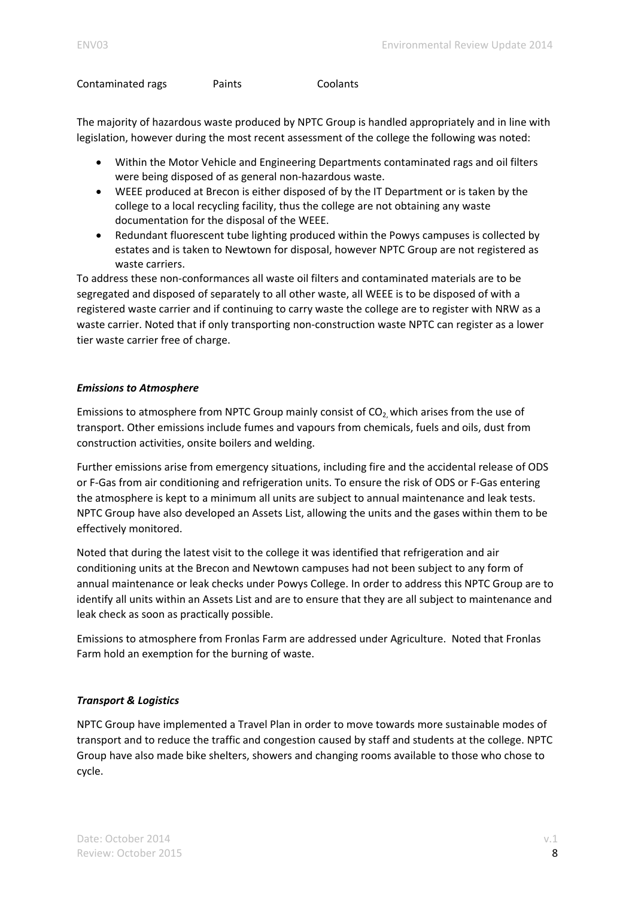Contaminated rags **a Coolants Coolants** 

The majority of hazardous waste produced by NPTC Group is handled appropriately and in line with legislation, however during the most recent assessment of the college the following was noted:

- Within the Motor Vehicle and Engineering Departments contaminated rags and oil filters were being disposed of as general non‐hazardous waste.
- WEEE produced at Brecon is either disposed of by the IT Department or is taken by the college to a local recycling facility, thus the college are not obtaining any waste documentation for the disposal of the WEEE.
- Redundant fluorescent tube lighting produced within the Powys campuses is collected by estates and is taken to Newtown for disposal, however NPTC Group are not registered as waste carriers.

To address these non‐conformances all waste oil filters and contaminated materials are to be segregated and disposed of separately to all other waste, all WEEE is to be disposed of with a registered waste carrier and if continuing to carry waste the college are to register with NRW as a waste carrier. Noted that if only transporting non-construction waste NPTC can register as a lower tier waste carrier free of charge.

## *Emissions to Atmosphere*

Emissions to atmosphere from NPTC Group mainly consist of  $CO<sub>2</sub>$  which arises from the use of transport. Other emissions include fumes and vapours from chemicals, fuels and oils, dust from construction activities, onsite boilers and welding.

Further emissions arise from emergency situations, including fire and the accidental release of ODS or F‐Gas from air conditioning and refrigeration units. To ensure the risk of ODS or F‐Gas entering the atmosphere is kept to a minimum all units are subject to annual maintenance and leak tests. NPTC Group have also developed an Assets List, allowing the units and the gases within them to be effectively monitored.

Noted that during the latest visit to the college it was identified that refrigeration and air conditioning units at the Brecon and Newtown campuses had not been subject to any form of annual maintenance or leak checks under Powys College. In order to address this NPTC Group are to identify all units within an Assets List and are to ensure that they are all subject to maintenance and leak check as soon as practically possible.

Emissions to atmosphere from Fronlas Farm are addressed under Agriculture. Noted that Fronlas Farm hold an exemption for the burning of waste.

## *Transport & Logistics*

NPTC Group have implemented a Travel Plan in order to move towards more sustainable modes of transport and to reduce the traffic and congestion caused by staff and students at the college. NPTC Group have also made bike shelters, showers and changing rooms available to those who chose to cycle.